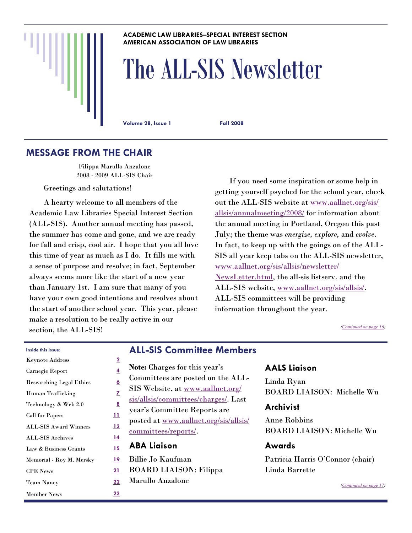#### **ACADEMIC LAW LIBRARIES–SPECIAL INTEREST SECTION AMERICAN ASSOCIATION OF LAW LIBRARIES**

# The ALL-SIS Newsletter

**Volume 28, Issue 1 Fall 2008** 

### **MESSAGE FROM THE CHAIR**

Filippa Marullo Anzalone 2008 - 2009 ALL-SIS Chair

Greetings and salutations!

 A hearty welcome to all members of the Academic Law Libraries Special Interest Section (ALL-SIS). Another annual meeting has passed, the summer has come and gone, and we are ready for fall and crisp, cool air. I hope that you all love this time of year as much as I do. It fills me with a sense of purpose and resolve; in fact, September always seems more like the start of a new year than January 1st. I am sure that many of you have your own good intentions and resolves about the start of another school year. This year, please make a resolution to be really active in our section, the ALL-SIS!

 If you need some inspiration or some help in getting yourself psyched for the school year, check out the ALL-SIS website at [www.aallnet.org/sis/](http://www.aallnet.org/sis/allsis/annualmeeting/2008/) [allsis/annualmeeting/2008/](http://www.aallnet.org/sis/allsis/annualmeeting/2008/) for information about the annual meeting in Portland, Oregon this past July; the theme was *energize, explore,* and *evolve*. In fact, to keep up with the goings on of the ALL-SIS all year keep tabs on the ALL-SIS newsletter, [www.aallnet.org/sis/allsis/newsletter/](http://www.aallnet.org/sis/allsis/newsletter/NewsLetter.html) [NewsLetter.html](http://www.aallnet.org/sis/allsis/newsletter/NewsLetter.html), the all-sis listserv, and the ALL-SIS website, [www.aallnet.org/sis/allsis/](http://www.aallnet.org/sis/allsis/). ALL-SIS committees will be providing information throughout the year.

*([Continued on page 16\)](#page-15-0)* 

| Inside this issue:              |                |
|---------------------------------|----------------|
| <b>Keynote Address</b>          | $\overline{2}$ |
| Carnegie Report                 | 4              |
| <b>Researching Legal Ethics</b> | <u>6</u>       |
| Human Trafficking               | Z              |
| Technology & Web 2.0            | <u>8</u>       |
| <b>Call for Papers</b>          | <u>11</u>      |
| <b>ALL-SIS Award Winners</b>    | <u> 13</u>     |
| <b>ALL-SIS Archives</b>         | <u> 14</u>     |
| Law & Business Grants           | <u> 15</u>     |
| Memorial - Roy M. Mersky        | <u> 19</u>     |
| <b>CPE News</b>                 | <u> 21</u>     |
| <b>Team Nancy</b>               | <u>22</u>      |
| <b>Member News</b>              | <u>23</u>      |

### **ALL-SIS Committee Members**

**Note:** Charges for this year's Committees are posted on the ALL-SIS Website, at [www.aallnet.org/](http://www.aallnet.org/sis/allsis/committees/charges/) [sis/allsis/committees/charges/](http://www.aallnet.org/sis/allsis/committees/charges/). Last year's Committee Reports are posted at [www.aallnet.org/sis/allsis/](http://www.aallnet.org/sis/allsis/committees/reports/index.asp) [committees/reports/](http://www.aallnet.org/sis/allsis/committees/reports/index.asp). **ABA Liaison**  Billie Jo Kaufman BOARD LIAISON: Filippa Marullo Anzalone

### **AALS Liaison**

Linda Ryan BOARD LIAISON: Michelle Wu

#### **Archivist**

Anne Robbins BOARD LIAISON: Michelle Wu

#### **Awards**

Patricia Harris O'Connor (chair) Linda Barrette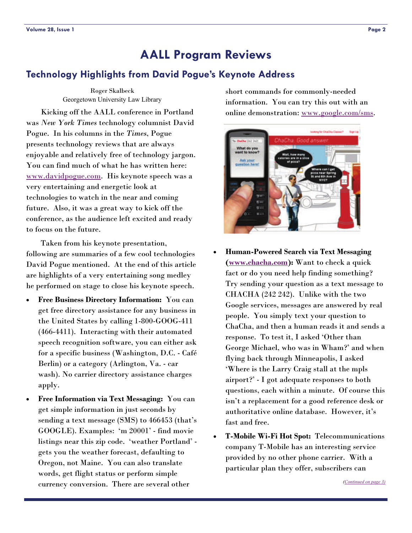### <span id="page-1-0"></span>**Technology Highlights from David Pogue's Keynote Address**

Roger Skalbeck Georgetown University Law Library

 Kicking off the AALL conference in Portland was *New York Times* technology columnist David Pogue. In his columns in the *Times*, Pogue presents technology reviews that are always enjoyable and relatively free of technology jargon. You can find much of what he has written here: [www.davidpogue.com](http://www.davidpogue.com). His keynote speech was a very entertaining and energetic look at technologies to watch in the near and coming future. Also, it was a great way to kick off the conference, as the audience left excited and ready to focus on the future.

 Taken from his keynote presentation, following are summaries of a few cool technologies David Pogue mentioned. At the end of this article are highlights of a very entertaining song medley he performed on stage to close his keynote speech.

- **Free Business Directory Information:** You can get free directory assistance for any business in the United States by calling 1-800-GOOG-411 (466-4411). Interacting with their automated speech recognition software, you can either ask for a specific business (Washington, D.C. - Café Berlin) or a category (Arlington, Va. - car wash). No carrier directory assistance charges apply.
- **Free Information via Text Messaging:** You can get simple information in just seconds by sending a text message (SMS) to 466453 (that's GOOGLE). Examples: 'm 20001' - find movie listings near this zip code. 'weather Portland' gets you the weather forecast, defaulting to Oregon, not Maine. You can also translate words, get flight status or perform simple currency conversion. There are several other

short commands for commonly-needed information. You can try this out with an online demonstration: [www.google.com/sms](http://www.google.com/sms).



- **Human-Powered Search via Text Messaging ([www.chacha.com](http://www.chacha.com)):** Want to check a quick fact or do you need help finding something? Try sending your question as a text message to CHACHA (242 242). Unlike with the two Google services, messages are answered by real people. You simply text your question to ChaCha, and then a human reads it and sends a response. To test it, I asked 'Other than George Michael, who was in Wham?' and when flying back through Minneapolis, I asked 'Where is the Larry Craig stall at the mpls airport?' - I got adequate responses to both questions, each within a minute. Of course this isn't a replacement for a good reference desk or authoritative online database. However, it's fast and free.
- **T-Mobile Wi-Fi Hot Spot:** Telecommunications company T-Mobile has an interesting service provided by no other phone carrier. With a particular plan they offer, subscribers can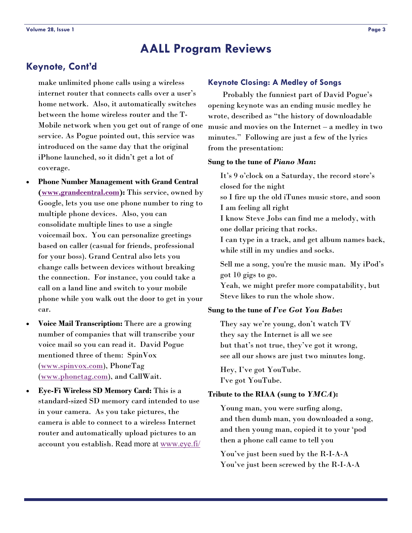### <span id="page-2-0"></span>**Keynote, Cont'd**

make unlimited phone calls using a wireless internet router that connects calls over a user's home network. Also, it automatically switches between the home wireless router and the T-Mobile network when you get out of range of one service. As Pogue pointed out, this service was introduced on the same day that the original iPhone launched, so it didn't get a lot of coverage.

- **Phone Number Management with Grand Central ([www.grandcentral.com](http://www.grandcentral.com)):** This service, owned by Google, lets you use one phone number to ring to multiple phone devices. Also, you can consolidate multiple lines to use a single voicemail box. You can personalize greetings based on caller (casual for friends, professional for your boss). Grand Central also lets you change calls between devices without breaking the connection. For instance, you could take a call on a land line and switch to your mobile phone while you walk out the door to get in your car.
- **Voice Mail Transcription:** There are a growing number of companies that will transcribe your voice mail so you can read it. David Pogue mentioned three of them: SpinVox ([www.spinvox.com](http://www.spinvox.com)), PhoneTag ([www.phonetag.com](http://www.phonetag.com)), and CallWait.
- **Eye-Fi Wireless SD Memory Card:** This is a standard-sized SD memory card intended to use in your camera. As you take pictures, the camera is able to connect to a wireless Internet router and automatically upload pictures to an account you establish. Read more at [www.eye.fi/](http://www.eye.fi/)

#### **Keynote Closing: A Medley of Songs**

 Probably the funniest part of David Pogue's opening keynote was an ending music medley he wrote, described as "the history of downloadable music and movies on the Internet – a medley in two minutes." Following are just a few of the lyrics from the presentation:

#### **Sung to the tune of** *Piano Man***:**

It's 9 o'clock on a Saturday, the record store's closed for the night so I fire up the old iTunes music store, and soon I am feeling all right I know Steve Jobs can find me a melody, with one dollar pricing that rocks. I can type in a track, and get album names back, while still in my undies and socks. Sell me a song, you're the music man. My iPod's got 10 gigs to go. Yeah, we might prefer more compatability, but Steve likes to run the whole show.

#### **Sung to the tune of** *I've Got You Babe***:**

They say we're young, don't watch TV they say the Internet is all we see but that's not true, they've got it wrong, see all our shows are just two minutes long.

Hey, I've got YouTube. I've got YouTube.

#### **Tribute to the RIAA (sung to** *YMCA***):**

Young man, you were surfing along, and then dumb man, you downloaded a song, and then young man, copied it to your 'pod then a phone call came to tell you

You've just been sued by the R-I-A-A You've just been screwed by the R-I-A-A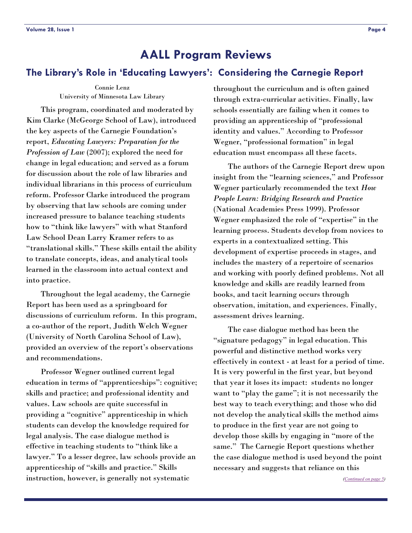### <span id="page-3-0"></span>**The Library's Role in 'Educating Lawyers': Considering the Carnegie Report**

Connie Lenz University of Minnesota Law Library

 This program, coordinated and moderated by Kim Clarke (McGeorge School of Law), introduced the key aspects of the Carnegie Foundation's report, *Educating Lawyers: Preparation for the Profession of Law* (2007); explored the need for change in legal education; and served as a forum for discussion about the role of law libraries and individual librarians in this process of curriculum reform. Professor Clarke introduced the program by observing that law schools are coming under increased pressure to balance teaching students how to "think like lawyers" with what Stanford Law School Dean Larry Kramer refers to as "translational skills." These skills entail the ability to translate concepts, ideas, and analytical tools learned in the classroom into actual context and into practice.

 Throughout the legal academy, the Carnegie Report has been used as a springboard for discussions of curriculum reform. In this program, a co-author of the report, Judith Welch Wegner (University of North Carolina School of Law), provided an overview of the report's observations and recommendations.

 Professor Wegner outlined current legal education in terms of "apprenticeships": cognitive; skills and practice; and professional identity and values. Law schools are quite successful in providing a "cognitive" apprenticeship in which students can develop the knowledge required for legal analysis. The case dialogue method is effective in teaching students to "think like a lawyer." To a lesser degree, law schools provide an apprenticeship of "skills and practice." Skills instruction, however, is generally not systematic

throughout the curriculum and is often gained through extra-curricular activities. Finally, law schools essentially are failing when it comes to providing an apprenticeship of "professional identity and values." According to Professor Wegner, "professional formation" in legal education must encompass all these facets.

 The authors of the Carnegie Report drew upon insight from the "learning sciences," and Professor Wegner particularly recommended the text *How People Learn: Bridging Research and Practice* (National Academies Press 1999). Professor Wegner emphasized the role of "expertise" in the learning process. Students develop from novices to experts in a contextualized setting. This development of expertise proceeds in stages, and includes the mastery of a repertoire of scenarios and working with poorly defined problems. Not all knowledge and skills are readily learned from books, and tacit learning occurs through observation, imitation, and experiences. Finally, assessment drives learning.

 The case dialogue method has been the "signature pedagogy" in legal education. This powerful and distinctive method works very effectively in context - at least for a period of time. It is very powerful in the first year, but beyond that year it loses its impact: students no longer want to "play the game"; it is not necessarily the best way to teach everything; and those who did not develop the analytical skills the method aims to produce in the first year are not going to develop those skills by engaging in "more of the same." The Carnegie Report questions whether the case dialogue method is used beyond the point necessary and suggests that reliance on this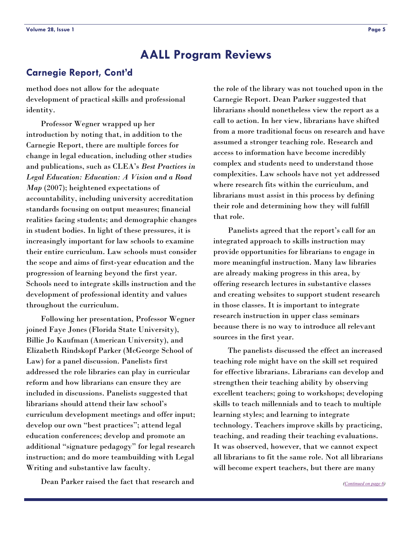### <span id="page-4-0"></span>**Carnegie Report, Cont'd**

method does not allow for the adequate development of practical skills and professional identity.

 Professor Wegner wrapped up her introduction by noting that, in addition to the Carnegie Report, there are multiple forces for change in legal education, including other studies and publications, such as CLEA's *Best Practices in Legal Education: Education: A Vision and a Road Map* (2007); heightened expectations of accountability, including university accreditation standards focusing on output measures; financial realities facing students; and demographic changes in student bodies. In light of these pressures, it is increasingly important for law schools to examine their entire curriculum. Law schools must consider the scope and aims of first-year education and the progression of learning beyond the first year. Schools need to integrate skills instruction and the development of professional identity and values throughout the curriculum.

 Following her presentation, Professor Wegner joined Faye Jones (Florida State University), Billie Jo Kaufman (American University), and Elizabeth Rindskopf Parker (McGeorge School of Law) for a panel discussion. Panelists first addressed the role libraries can play in curricular reform and how librarians can ensure they are included in discussions. Panelists suggested that librarians should attend their law school's curriculum development meetings and offer input; develop our own "best practices"; attend legal education conferences; develop and promote an additional "signature pedagogy" for legal research instruction; and do more teambuilding with Legal Writing and substantive law faculty.

Dean Parker raised the fact that research and

the role of the library was not touched upon in the Carnegie Report. Dean Parker suggested that librarians should nonetheless view the report as a call to action. In her view, librarians have shifted from a more traditional focus on research and have assumed a stronger teaching role. Research and access to information have become incredibly complex and students need to understand those complexities. Law schools have not yet addressed where research fits within the curriculum, and librarians must assist in this process by defining their role and determining how they will fulfill that role.

 Panelists agreed that the report's call for an integrated approach to skills instruction may provide opportunities for librarians to engage in more meaningful instruction. Many law libraries are already making progress in this area, by offering research lectures in substantive classes and creating websites to support student research in those classes. It is important to integrate research instruction in upper class seminars because there is no way to introduce all relevant sources in the first year.

 The panelists discussed the effect an increased teaching role might have on the skill set required for effective librarians. Librarians can develop and strengthen their teaching ability by observing excellent teachers; going to workshops; developing skills to teach millennials and to teach to multiple learning styles; and learning to integrate technology. Teachers improve skills by practicing, teaching, and reading their teaching evaluations. It was observed, however, that we cannot expect all librarians to fit the same role. Not all librarians will become expert teachers, but there are many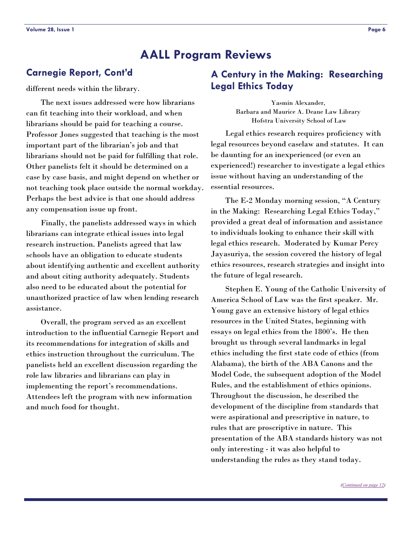### <span id="page-5-0"></span>**Carnegie Report, Cont'd**

different needs within the library.

 The next issues addressed were how librarians can fit teaching into their workload, and when librarians should be paid for teaching a course. Professor Jones suggested that teaching is the most important part of the librarian's job and that librarians should not be paid for fulfilling that role. Other panelists felt it should be determined on a case by case basis, and might depend on whether or not teaching took place outside the normal workday. Perhaps the best advice is that one should address any compensation issue up front.

 Finally, the panelists addressed ways in which librarians can integrate ethical issues into legal research instruction. Panelists agreed that law schools have an obligation to educate students about identifying authentic and excellent authority and about citing authority adequately. Students also need to be educated about the potential for unauthorized practice of law when lending research assistance.

 Overall, the program served as an excellent introduction to the influential Carnegie Report and its recommendations for integration of skills and ethics instruction throughout the curriculum. The panelists held an excellent discussion regarding the role law libraries and librarians can play in implementing the report's recommendations. Attendees left the program with new information and much food for thought.

### **A Century in the Making: Researching Legal Ethics Today**

Yasmin Alexander, Barbara and Maurice A. Deane Law Library Hofstra University School of Law

 Legal ethics research requires proficiency with legal resources beyond caselaw and statutes. It can be daunting for an inexperienced (or even an experienced!) researcher to investigate a legal ethics issue without having an understanding of the essential resources.

 The E-2 Monday morning session, "A Century in the Making: Researching Legal Ethics Today," provided a great deal of information and assistance to individuals looking to enhance their skill with legal ethics research. Moderated by Kumar Percy Jayasuriya, the session covered the history of legal ethics resources, research strategies and insight into the future of legal research.

 Stephen E. Young of the Catholic University of America School of Law was the first speaker. Mr. Young gave an extensive history of legal ethics resources in the United States, beginning with essays on legal ethics from the 1800's. He then brought us through several landmarks in legal ethics including the first state code of ethics (from Alabama), the birth of the ABA Canons and the Model Code, the subsequent adoption of the Model Rules, and the establishment of ethics opinions. Throughout the discussion, he described the development of the discipline from standards that were aspirational and prescriptive in nature, to rules that are proscriptive in nature. This presentation of the ABA standards history was not only interesting - it was also helpful to understanding the rules as they stand today.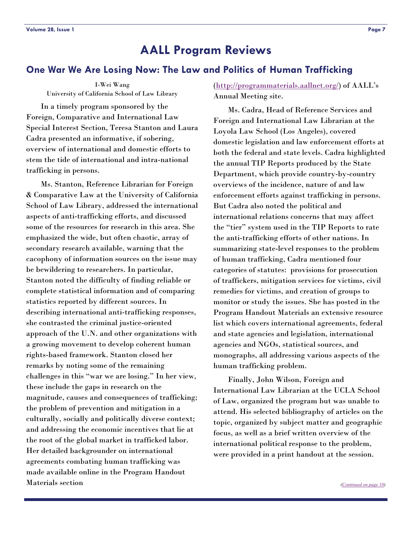### <span id="page-6-0"></span>**One War We Are Losing Now: The Law and Politics of Human Trafficking**

I-Wei Wang University of California School of Law Library

 In a timely program sponsored by the Foreign, Comparative and International Law Special Interest Section, Teresa Stanton and Laura Cadra presented an informative, if sobering, overview of international and domestic efforts to stem the tide of international and intra-national trafficking in persons.

 Ms. Stanton, Reference Librarian for Foreign & Comparative Law at the University of California School of Law Library, addressed the international aspects of anti-trafficking efforts, and discussed some of the resources for research in this area. She emphasized the wide, but often chaotic, array of secondary research available, warning that the cacophony of information sources on the issue may be bewildering to researchers. In particular, Stanton noted the difficulty of finding reliable or complete statistical information and of comparing statistics reported by different sources. In describing international anti-trafficking responses, she contrasted the criminal justice-oriented approach of the U.N. and other organizations with a growing movement to develop coherent human rights-based framework. Stanton closed her remarks by noting some of the remaining challenges in this "war we are losing." In her view, these include the gaps in research on the magnitude, causes and consequences of trafficking; the problem of prevention and mitigation in a culturally, socially and politically diverse context; and addressing the economic incentives that lie at the root of the global market in trafficked labor. Her detailed backgrounder on international agreements combating human trafficking was made available online in the Program Handout Materials section

(<http://programmaterials.aallnet.org/>) of AALL's Annual Meeting site.

 Ms. Cadra, Head of Reference Services and Foreign and International Law Librarian at the Loyola Law School (Los Angeles), covered domestic legislation and law enforcement efforts at both the federal and state levels. Cadra highlighted the annual TIP Reports produced by the State Department, which provide country-by-country overviews of the incidence, nature of and law enforcement efforts against trafficking in persons. But Cadra also noted the political and international relations concerns that may affect the "tier" system used in the TIP Reports to rate the anti-trafficking efforts of other nations. In summarizing state-level responses to the problem of human trafficking, Cadra mentioned four categories of statutes: provisions for prosecution of traffickers, mitigation services for victims, civil remedies for victims, and creation of groups to monitor or study the issues. She has posted in the Program Handout Materials an extensive resource list which covers international agreements, federal and state agencies and legislation, international agencies and NGOs, statistical sources, and monographs, all addressing various aspects of the human trafficking problem.

 Finally, John Wilson, Foreign and International Law Librarian at the UCLA School of Law, organized the program but was unable to attend. His selected bibliography of articles on the topic, organized by subject matter and geographic focus, as well as a brief written overview of the international political response to the problem, were provided in a print handout at the session.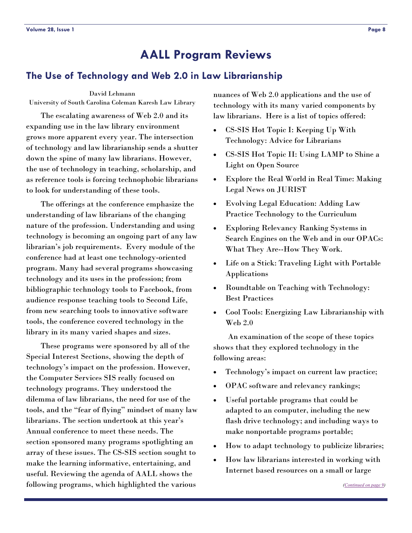### <span id="page-7-0"></span>**The Use of Technology and Web 2.0 in Law Librarianship**

#### David Lehmann

University of South Carolina Coleman Karesh Law Library

 The escalating awareness of Web 2.0 and its expanding use in the law library environment grows more apparent every year. The intersection of technology and law librarianship sends a shutter down the spine of many law librarians. However, the use of technology in teaching, scholarship, and as reference tools is forcing technophobic librarians to look for understanding of these tools.

 The offerings at the conference emphasize the understanding of law librarians of the changing nature of the profession. Understanding and using technology is becoming an ongoing part of any law librarian's job requirements. Every module of the conference had at least one technology-oriented program. Many had several programs showcasing technology and its uses in the profession; from bibliographic technology tools to Facebook, from audience response teaching tools to Second Life, from new searching tools to innovative software tools, the conference covered technology in the library in its many varied shapes and sizes.

 These programs were sponsored by all of the Special Interest Sections, showing the depth of technology's impact on the profession. However, the Computer Services SIS really focused on technology programs. They understood the dilemma of law librarians, the need for use of the tools, and the "fear of flying" mindset of many law librarians. The section undertook at this year's Annual conference to meet these needs. The section sponsored many programs spotlighting an array of these issues. The CS-SIS section sought to make the learning informative, entertaining, and useful. Reviewing the agenda of AALL shows the following programs, which highlighted the various

nuances of Web 2.0 applications and the use of technology with its many varied components by law librarians. Here is a list of topics offered:

- CS-SIS Hot Topic I: Keeping Up With Technology: Advice for Librarians
- CS-SIS Hot Topic II: Using LAMP to Shine a Light on Open Source
- Explore the Real World in Real Time: Making Legal News on JURIST
- Evolving Legal Education: Adding Law Practice Technology to the Curriculum
- Exploring Relevancy Ranking Systems in Search Engines on the Web and in our OPACs: What They Are--How They Work.
- Life on a Stick: Traveling Light with Portable Applications
- Roundtable on Teaching with Technology: Best Practices
- Cool Tools: Energizing Law Librarianship with Web 2.0

 An examination of the scope of these topics shows that they explored technology in the following areas:

- Technology's impact on current law practice;
- OPAC software and relevancy rankings;
- Useful portable programs that could be adapted to an computer, including the new flash drive technology; and including ways to make nonportable programs portable;
- How to adapt technology to publicize libraries;
- How law librarians interested in working with Internet based resources on a small or large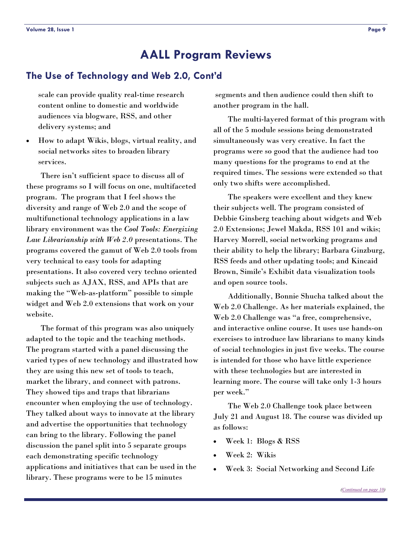### <span id="page-8-0"></span>**The Use of Technology and Web 2.0, Cont'd**

scale can provide quality real-time research content online to domestic and worldwide audiences via blogware, RSS, and other delivery systems; and

• How to adapt Wikis, blogs, virtual reality, and social networks sites to broaden library services.

 There isn't sufficient space to discuss all of these programs so I will focus on one, multifaceted program. The program that I feel shows the diversity and range of Web 2.0 and the scope of multifunctional technology applications in a law library environment was the *Cool Tools: Energizing Law Librarianship with Web 2.0* presentations. The programs covered the gamut of Web 2.0 tools from very technical to easy tools for adapting presentations. It also covered very techno oriented subjects such as AJAX, RSS, and APIs that are making the "Web-as-platform" possible to simple widget and Web 2.0 extensions that work on your website.

 The format of this program was also uniquely adapted to the topic and the teaching methods. The program started with a panel discussing the varied types of new technology and illustrated how they are using this new set of tools to teach, market the library, and connect with patrons. They showed tips and traps that librarians encounter when employing the use of technology. They talked about ways to innovate at the library and advertise the opportunities that technology can bring to the library. Following the panel discussion the panel split into 5 separate groups each demonstrating specific technology applications and initiatives that can be used in the library. These programs were to be 15 minutes

 segments and then audience could then shift to another program in the hall.

 The multi-layered format of this program with all of the 5 module sessions being demonstrated simultaneously was very creative. In fact the programs were so good that the audience had too many questions for the programs to end at the required times. The sessions were extended so that only two shifts were accomplished.

 The speakers were excellent and they knew their subjects well. The program consisted of Debbie Ginsberg teaching about widgets and Web 2.0 Extensions; Jewel Makda, RSS 101 and wikis; Harvey Morrell, social networking programs and their ability to help the library; Barbara Ginzburg, RSS feeds and other updating tools; and Kincaid Brown, Simile's Exhibit data visualization tools and open source tools.

 Additionally, Bonnie Shucha talked about the Web 2.0 Challenge. As her materials explained, the Web 2.0 Challenge was "a free, comprehensive, and interactive online course. It uses use hands-on exercises to introduce law librarians to many kinds of social technologies in just five weeks. The course is intended for those who have little experience with these technologies but are interested in learning more. The course will take only 1-3 hours per week."

 The Web 2.0 Challenge took place between July 21 and August 18. The course was divided up as follows:

- Week 1: Blogs & RSS
- Week 2: Wikis
- Week 3: Social Networking and Second Life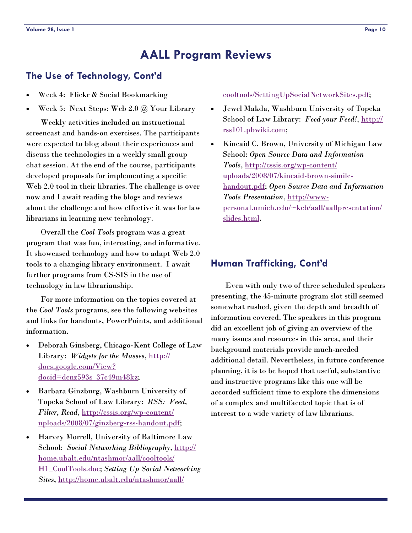### <span id="page-9-0"></span>**The Use of Technology, Cont'd**

- Week 4: Flickr & Social Bookmarking
- Week 5: Next Steps: Web 2.0 @ Your Library

 Weekly activities included an instructional screencast and hands-on exercises. The participants were expected to blog about their experiences and discuss the technologies in a weekly small group chat session. At the end of the course, participants developed proposals for implementing a specific Web 2.0 tool in their libraries. The challenge is over now and I await reading the blogs and reviews about the challenge and how effective it was for law librarians in learning new technology.

 Overall the *Cool Tools* program was a great program that was fun, interesting, and informative. It showcased technology and how to adapt Web 2.0 tools to a changing library environment. I await further programs from CS-SIS in the use of technology in law librarianship.

 For more information on the topics covered at the *Cool Tools* programs, see the following websites and links for handouts, PowerPoints, and additional information.

- Deborah Ginsberg, Chicago-Kent College of Law Library: *Widgets for the Masses*, [http://](http://docs.google.com/View?docid=dcnz593s_37c49m48kz) [docs.google.com/View?](http://docs.google.com/View?docid=dcnz593s_37c49m48kz) [docid=dcnz593s\\_37c49m48kz](http://docs.google.com/View?docid=dcnz593s_37c49m48kz);
- Barbara Ginzburg, Washburn University of Topeka School of Law Library: *RSS: Feed, Filter, Read*, [http://cssis.org/wp-content/](http://cssis.org/wp-content/uploads/2008/07/ginzberg-rss-handout.pdf) [uploads/2008/07/ginzberg-rss-handout.pdf](http://cssis.org/wp-content/uploads/2008/07/ginzberg-rss-handout.pdf);
- Harvey Morrell, University of Baltimore Law School: *Social Networking Bibliography*, [http://](http://home.ubalt.edu/ntashmor/aall/cooltools/H1_CoolTools.doc) [home.ubalt.edu/ntashmor/aall/cooltools/](http://home.ubalt.edu/ntashmor/aall/cooltools/H1_CoolTools.doc) [H1\\_CoolTools.doc;](http://home.ubalt.edu/ntashmor/aall/cooltools/H1_CoolTools.doc) *Setting Up Social Networking Sites*, [http://home.ubalt.edu/ntashmor/aall/](http://home.ubalt.edu/ntashmor/aall/cooltools/SettingUpSocialNetworkSites.pdf)

#### [cooltools/SettingUpSocialNetworkSites.pdf](http://home.ubalt.edu/ntashmor/aall/cooltools/SettingUpSocialNetworkSites.pdf);

- Jewel Makda, Washburn University of Topeka School of Law Library: *Feed your Feed!*, [http://](http://rss101.pbwiki.com) [rss101.pbwiki.com](http://rss101.pbwiki.com);
- Kincaid C. Brown, University of Michigan Law School: *Open Source Data and Information Tools*, [http://cssis.org/wp-content/](http://cssis.org/wp-content/uploads/2008/07/kincaid-brown-simile-handout.pdf) [uploads/2008/07/kincaid-brown-simile](http://cssis.org/wp-content/uploads/2008/07/kincaid-brown-simile-handout.pdf)[handout.pdf](http://cssis.org/wp-content/uploads/2008/07/kincaid-brown-simile-handout.pdf); *Open Source Data and Information Tools Presentation*, [http://www](http://www-personal.umich.edu/~kcb/aall/aallpresentation/slides.html)[personal.umich.edu/~kcb/aall/aallpresentation/](http://www-personal.umich.edu/~kcb/aall/aallpresentation/slides.html) [slides.html](http://www-personal.umich.edu/~kcb/aall/aallpresentation/slides.html).

### **Human Trafficking, Cont'd**

 Even with only two of three scheduled speakers presenting, the 45-minute program slot still seemed somewhat rushed, given the depth and breadth of information covered. The speakers in this program did an excellent job of giving an overview of the many issues and resources in this area, and their background materials provide much-needed additional detail. Nevertheless, in future conference planning, it is to be hoped that useful, substantive and instructive programs like this one will be accorded sufficient time to explore the dimensions of a complex and multifaceted topic that is of interest to a wide variety of law librarians.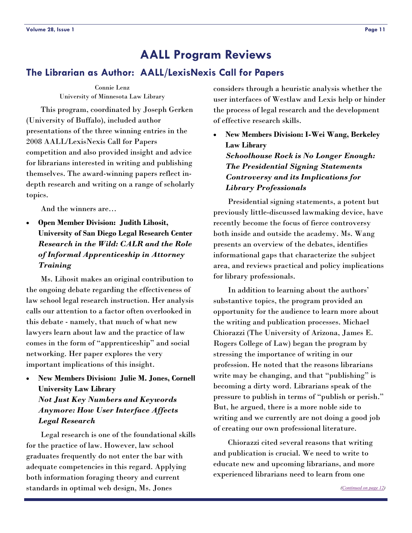### <span id="page-10-0"></span>**The Librarian as Author: AALL/LexisNexis Call for Papers**

Connie Lenz University of Minnesota Law Library

 This program, coordinated by Joseph Gerken (University of Buffalo), included author presentations of the three winning entries in the 2008 AALL/LexisNexis Call for Papers competition and also provided insight and advice for librarians interested in writing and publishing themselves. The award-winning papers reflect indepth research and writing on a range of scholarly topics.

And the winners are…

• **Open Member Division: Judith Lihosit, University of San Diego Legal Research Center**  *Research in the Wild: CALR and the Role of Informal Apprenticeship in Attorney Training*

 Ms. Lihosit makes an original contribution to the ongoing debate regarding the effectiveness of law school legal research instruction. Her analysis calls our attention to a factor often overlooked in this debate - namely, that much of what new lawyers learn about law and the practice of law comes in the form of "apprenticeship" and social networking. Her paper explores the very important implications of this insight.

• **New Members Division: Julie M. Jones, Cornell University Law Library**  *Not Just Key Numbers and Keywords Anymore: How User Interface Affects Legal Research*

 Legal research is one of the foundational skills for the practice of law. However, law school graduates frequently do not enter the bar with adequate competencies in this regard. Applying both information foraging theory and current standards in optimal web design, Ms. Jones

considers through a heuristic analysis whether the user interfaces of Westlaw and Lexis help or hinder the process of legal research and the development of effective research skills.

• **New Members Division: I-Wei Wang, Berkeley Law Library**  *Schoolhouse Rock is No Longer Enough: The Presidential Signing Statements Controversy and its Implications for Library Professionals*

 Presidential signing statements, a potent but previously little-discussed lawmaking device, have recently become the focus of fierce controversy both inside and outside the academy. Ms. Wang presents an overview of the debates, identifies informational gaps that characterize the subject area, and reviews practical and policy implications for library professionals.

 In addition to learning about the authors' substantive topics, the program provided an opportunity for the audience to learn more about the writing and publication processes. Michael Chiorazzi (The University of Arizona, James E. Rogers College of Law) began the program by stressing the importance of writing in our profession. He noted that the reasons librarians write may be changing, and that "publishing" is becoming a dirty word. Librarians speak of the pressure to publish in terms of "publish or perish." But, he argued, there is a more noble side to writing and we currently are not doing a good job of creating our own professional literature.

 Chiorazzi cited several reasons that writing and publication is crucial. We need to write to educate new and upcoming librarians, and more experienced librarians need to learn from one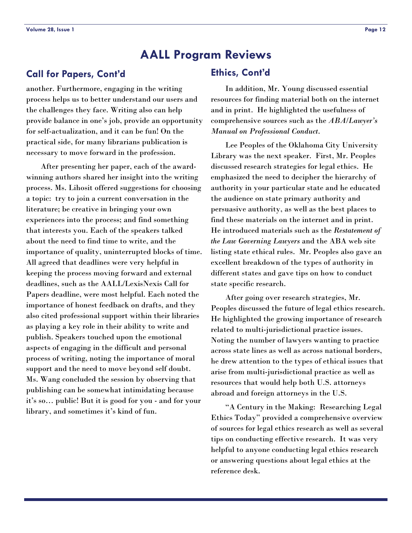### <span id="page-11-0"></span>**Call for Papers, Cont'd**

another. Furthermore, engaging in the writing process helps us to better understand our users and the challenges they face. Writing also can help provide balance in one's job, provide an opportunity for self-actualization, and it can be fun! On the practical side, for many librarians publication is necessary to move forward in the profession.

 After presenting her paper, each of the awardwinning authors shared her insight into the writing process. Ms. Lihosit offered suggestions for choosing a topic: try to join a current conversation in the literature; be creative in bringing your own experiences into the process; and find something that interests you. Each of the speakers talked about the need to find time to write, and the importance of quality, uninterrupted blocks of time. All agreed that deadlines were very helpful in keeping the process moving forward and external deadlines, such as the AALL/LexisNexis Call for Papers deadline, were most helpful. Each noted the importance of honest feedback on drafts, and they also cited professional support within their libraries as playing a key role in their ability to write and publish. Speakers touched upon the emotional aspects of engaging in the difficult and personal process of writing, noting the importance of moral support and the need to move beyond self doubt. Ms. Wang concluded the session by observing that publishing can be somewhat intimidating because it's so… public! But it is good for you - and for your library, and sometimes it's kind of fun.

#### **Ethics, Cont'd**

 In addition, Mr. Young discussed essential resources for finding material both on the internet and in print. He highlighted the usefulness of comprehensive sources such as the *ABA/Lawyer's Manual on Professional Conduct*.

 Lee Peoples of the Oklahoma City University Library was the next speaker. First, Mr. Peoples discussed research strategies for legal ethics. He emphasized the need to decipher the hierarchy of authority in your particular state and he educated the audience on state primary authority and persuasive authority, as well as the best places to find these materials on the internet and in print. He introduced materials such as the *Restatement of the Law Governing Lawyers* and the ABA web site listing state ethical rules. Mr. Peoples also gave an excellent breakdown of the types of authority in different states and gave tips on how to conduct state specific research.

 After going over research strategies, Mr. Peoples discussed the future of legal ethics research. He highlighted the growing importance of research related to multi-jurisdictional practice issues. Noting the number of lawyers wanting to practice across state lines as well as across national borders, he drew attention to the types of ethical issues that arise from multi-jurisdictional practice as well as resources that would help both U.S. attorneys abroad and foreign attorneys in the U.S.

 "A Century in the Making: Researching Legal Ethics Today" provided a comprehensive overview of sources for legal ethics research as well as several tips on conducting effective research. It was very helpful to anyone conducting legal ethics research or answering questions about legal ethics at the reference desk.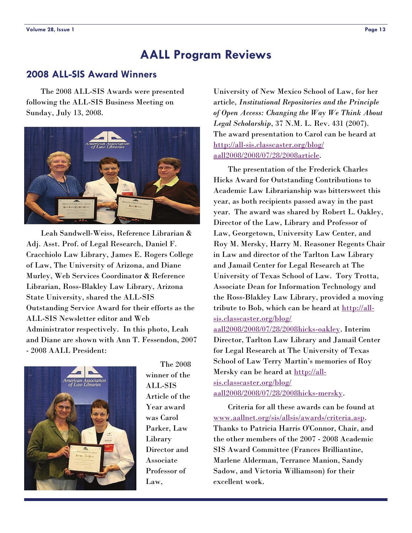### <span id="page-12-0"></span>**2008 ALL-SIS Award Winners**

 The 2008 ALL-SIS Awards were presented following the ALL-SIS Business Meeting on Sunday, July 13, 2008.



 Leah Sandwell-Weiss, Reference Librarian & Adj. Asst. Prof. of Legal Research, Daniel F. Cracchiolo Law Library, James E. Rogers College of Law, The University of Arizona, and Diane Murley, Web Services Coordinator & Reference Librarian, Ross-Blakley Law Library, Arizona State University, shared the ALL-SIS Outstanding Service Award for their efforts as the ALL-SIS Newsletter editor and Web Administrator respectively. In this photo, Leah and Diane are shown with Ann T. Fessendon, 2007 - 2008 AALL President:



 The 2008 winner of the ALL-SIS Article of the Year award was Carol Parker, Law Library Director and Associate Professor of Law,

University of New Mexico School of Law, for her article, *Institutional Repositories and the Principle of Open Access: Changing the Way We Think About Legal Scholarship*, 37 N.M. L. Rev. 431 (2007). The award presentation to Carol can be heard at [http://all-sis.classcaster.org/blog/](http://all-sis.classcaster.org/blog/aall2008/2008/07/28/2008article) [aall2008/2008/07/28/2008article](http://all-sis.classcaster.org/blog/aall2008/2008/07/28/2008article).

 The presentation of the Frederick Charles Hicks Award for Outstanding Contributions to Academic Law Librarianship was bittersweet this year, as both recipients passed away in the past year. The award was shared by Robert L. Oakley, Director of the Law, Library and Professor of Law, Georgetown, University Law Center, and Roy M. Mersky, Harry M. Reasoner Regents Chair in Law and director of the Tarlton Law Library and Jamail Center for Legal Research at The University of Texas School of Law. Tory Trotta, Associate Dean for Information Technology and the Ross-Blakley Law Library, provided a moving tribute to Bob, which can be heard at [http://all](http://all-sis.classcaster.org/blog/aall2008/2008/07/28/2008hicks-oakley)[sis.classcaster.org/blog/](http://all-sis.classcaster.org/blog/aall2008/2008/07/28/2008hicks-oakley)

[aall2008/2008/07/28/2008hicks-oakley](http://all-sis.classcaster.org/blog/aall2008/2008/07/28/2008hicks-oakley). Interim Director, Tarlton Law Library and Jamail Center for Legal Research at The University of Texas School of Law Terry Martin's memories of Roy Mersky can be heard at [http://all](http://all-sis.classcaster.org/blog/aall2008/2008/07/28/2008hicks-mersky)[sis.classcaster.org/blog/](http://all-sis.classcaster.org/blog/aall2008/2008/07/28/2008hicks-mersky) [aall2008/2008/07/28/2008hicks-mersky](http://all-sis.classcaster.org/blog/aall2008/2008/07/28/2008hicks-mersky).

 Criteria for all these awards can be found at [www.aallnet.org/sis/allsis/awards/criteria.asp](http://www.aallnet.org/sis/allsis/awards/criteria.asp). Thanks to Patricia Harris O'Connor, Chair, and the other members of the 2007 - 2008 Academic SIS Award Committee (Frances Brilliantine, Marlene Alderman, Terrance Manion, Sandy Sadow, and Victoria Williamson) for their excellent work.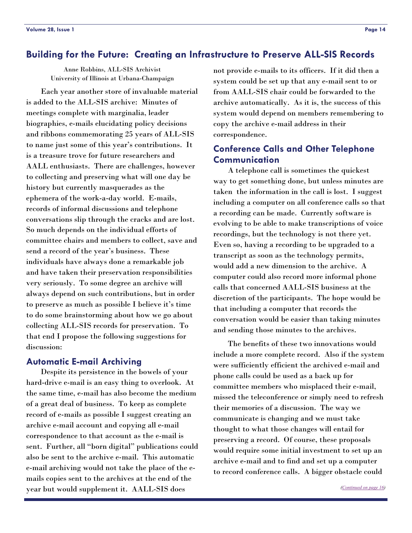### <span id="page-13-0"></span>**Building for the Future: Creating an Infrastructure to Preserve ALL-SIS Records**

Anne Robbins, ALL-SIS Archivist University of Illinois at Urbana-Champaign

 Each year another store of invaluable material is added to the ALL-SIS archive: Minutes of meetings complete with marginalia, leader biographies, e-mails elucidating policy decisions and ribbons commemorating 25 years of ALL-SIS to name just some of this year's contributions. It is a treasure trove for future researchers and AALL enthusiasts. There are challenges, however to collecting and preserving what will one day be history but currently masquerades as the ephemera of the work-a-day world. E-mails, records of informal discussions and telephone conversations slip through the cracks and are lost. So much depends on the individual efforts of committee chairs and members to collect, save and send a record of the year's business. These individuals have always done a remarkable job and have taken their preservation responsibilities very seriously. To some degree an archive will always depend on such contributions, but in order to preserve as much as possible I believe it's time to do some brainstorming about how we go about collecting ALL-SIS records for preservation. To that end I propose the following suggestions for discussion:

#### **Automatic E-mail Archiving**

 Despite its persistence in the bowels of your hard-drive e-mail is an easy thing to overlook. At the same time, e-mail has also become the medium of a great deal of business. To keep as complete record of e-mails as possible I suggest creating an archive e-mail account and copying all e-mail correspondence to that account as the e-mail is sent. Further, all "born digital" publications could also be sent to the archive e-mail. This automatic e-mail archiving would not take the place of the emails copies sent to the archives at the end of the year but would supplement it. AALL-SIS does

not provide e-mails to its officers. If it did then a system could be set up that any e-mail sent to or from AALL-SIS chair could be forwarded to the archive automatically. As it is, the success of this system would depend on members remembering to copy the archive e-mail address in their correspondence.

### **Conference Calls and Other Telephone Communication**

 A telephone call is sometimes the quickest way to get something done, but unless minutes are taken the information in the call is lost. I suggest including a computer on all conference calls so that a recording can be made. Currently software is evolving to be able to make transcriptions of voice recordings, but the technology is not there yet. Even so, having a recording to be upgraded to a transcript as soon as the technology permits, would add a new dimension to the archive. A computer could also record more informal phone calls that concerned AALL-SIS business at the discretion of the participants. The hope would be that including a computer that records the conversation would be easier than taking minutes and sending those minutes to the archives.

 The benefits of these two innovations would include a more complete record. Also if the system were sufficiently efficient the archived e-mail and phone calls could be used as a back up for committee members who misplaced their e-mail, missed the teleconference or simply need to refresh their memories of a discussion. The way we communicate is changing and we must take thought to what those changes will entail for preserving a record. Of course, these proposals would require some initial investment to set up an archive e-mail and to find and set up a computer to record conference calls. A bigger obstacle could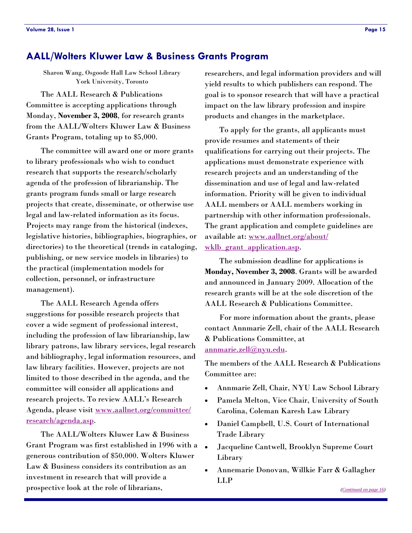### **AALL/Wolters Kluwer Law & Business Grants Program**

Sharon Wang, Osgoode Hall Law School Library York University, Toronto

 The AALL Research & Publications Committee is accepting applications through Monday, **November 3, 2008**, for research grants from the AALL/Wolters Kluwer Law & Business Grants Program, totaling up to \$5,000.

 The committee will award one or more grants to library professionals who wish to conduct research that supports the research/scholarly agenda of the profession of librarianship. The grants program funds small or large research projects that create, disseminate, or otherwise use legal and law-related information as its focus. Projects may range from the historical (indexes, legislative histories, bibliographies, biographies, or directories) to the theoretical (trends in cataloging, publishing, or new service models in libraries) to the practical (implementation models for collection, personnel, or infrastructure management).

 The AALL Research Agenda offers suggestions for possible research projects that cover a wide segment of professional interest, including the profession of law librarianship, law library patrons, law library services, legal research and bibliography, legal information resources, and law library facilities. However, projects are not limited to those described in the agenda, and the committee will consider all applications and research projects. To review AALL's Research Agenda, please visit [www.aallnet.org/committee/](http://www.aallnet.org/committee/research/agenda.asp) [research/agenda.asp](http://www.aallnet.org/committee/research/agenda.asp).

 The AALL/Wolters Kluwer Law & Business Grant Program was first established in 1996 with a generous contribution of \$50,000. Wolters Kluwer Law & Business considers its contribution as an investment in research that will provide a prospective look at the role of librarians,

researchers, and legal information providers and will yield results to which publishers can respond. The goal is to sponsor research that will have a practical impact on the law library profession and inspire products and changes in the marketplace.

 To apply for the grants, all applicants must provide resumes and statements of their qualifications for carrying out their projects. The applications must demonstrate experience with research projects and an understanding of the dissemination and use of legal and law-related information. Priority will be given to individual AALL members or AALL members working in partnership with other information professionals. The grant application and complete guidelines are available at: [www.aallnet.org/about/](http://www.aallnet.org/about/wklb_grant_application.asp) wklb grant application.asp.

 The submission deadline for applications is **Monday, November 3, 2008**. Grants will be awarded and announced in January 2009. Allocation of the research grants will be at the sole discretion of the AALL Research & Publications Committee.

 For more information about the grants, please contact Annmarie Zell, chair of the AALL Research & Publications Committee, at annmarie.zell@nyu.edu.

The members of the AALL Research & Publications Committee are:

- Annmarie Zell, Chair, NYU Law School Library
- Pamela Melton, Vice Chair, University of South Carolina, Coleman Karesh Law Library
- Daniel Campbell, U.S. Court of International Trade Library
- Jacqueline Cantwell, Brooklyn Supreme Court Library
- Annemarie Donovan, Willkie Farr & Gallagher LLP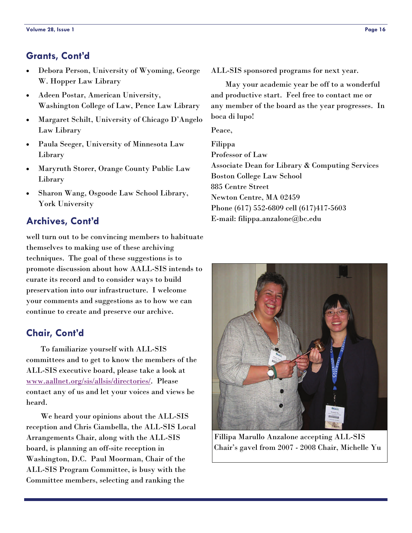### <span id="page-15-0"></span>**Grants, Cont'd**

- Debora Person, University of Wyoming, George W. Hopper Law Library
- Adeen Postar, American University, Washington College of Law, Pence Law Library
- Margaret Schilt, University of Chicago D'Angelo Law Library
- Paula Seeger, University of Minnesota Law Library
- Maryruth Storer, Orange County Public Law Library
- Sharon Wang, Osgoode Law School Library, York University

### **Archives, Cont'd**

well turn out to be convincing members to habituate themselves to making use of these archiving techniques. The goal of these suggestions is to promote discussion about how AALL-SIS intends to curate its record and to consider ways to build preservation into our infrastructure. I welcome your comments and suggestions as to how we can continue to create and preserve our archive.

### **Chair, Cont'd**

 To familiarize yourself with ALL-SIS committees and to get to know the members of the ALL-SIS executive board, please take a look at [www.aallnet.org/sis/allsis/directories/](http://www.aallnet.org/sis/allsis/directories/). Please contact any of us and let your voices and views be heard.

 We heard your opinions about the ALL-SIS reception and Chris Ciambella, the ALL-SIS Local Arrangements Chair, along with the ALL-SIS board, is planning an off-site reception in Washington, D.C. Paul Moorman, Chair of the ALL-SIS Program Committee, is busy with the Committee members, selecting and ranking the

ALL-SIS sponsored programs for next year.

 May your academic year be off to a wonderful and productive start. Feel free to contact me or any member of the board as the year progresses. In boca di lupo!

Peace,

Filippa Professor of Law Associate Dean for Library & Computing Services Boston College Law School 885 Centre Street Newton Centre, MA 02459 Phone (617) 552-6809 cell (617)417-5603 E-mail: filippa.anzalone@bc.edu



Fillipa Marullo Anzalone accepting ALL-SIS Chair's gavel from 2007 - 2008 Chair, Michelle Yu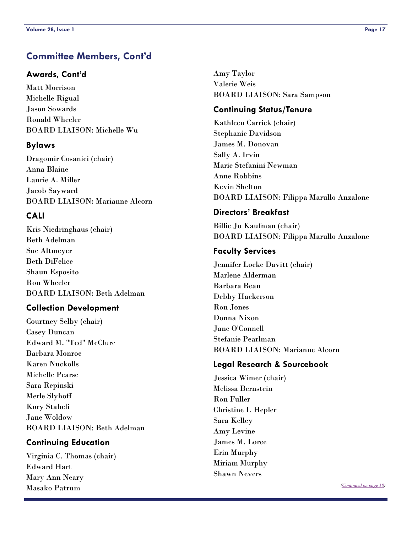### <span id="page-16-0"></span>**Committee Members, Cont'd**

### **Awards, Cont'd**

Matt Morrison Michelle Rigual Jason Sowards Ronald Wheeler BOARD LIAISON: Michelle Wu

### **Bylaws**

Dragomir Cosanici (chair) Anna Blaine Laurie A. Miller Jacob Sayward BOARD LIAISON: Marianne Alcorn

### **CALI**

Kris Niedringhaus (chair) Beth Adelman Sue Altmeyer Beth DiFelice Shaun Esposito Ron Wheeler BOARD LIAISON: Beth Adelman

### **Collection Development**

Courtney Selby (chair) Casey Duncan Edward M. "Ted" McClure Barbara Monroe Karen Nuckolls Michelle Pearse Sara Repinski Merle Slyhoff Kory Staheli Jane Woldow BOARD LIAISON: Beth Adelman

### **Continuing Education**

Virginia C. Thomas (chair) Edward Hart Mary Ann Neary Masako Patrum

Amy Taylor Valerie Weis BOARD LIAISON: Sara Sampson

### **Continuing Status/Tenure**

Kathleen Carrick (chair) Stephanie Davidson James M. Donovan Sally A. Irvin Marie Stefanini Newman Anne Robbins Kevin Shelton BOARD LIAISON: Filippa Marullo Anzalone

### **Directors' Breakfast**

Billie Jo Kaufman (chair) BOARD LIAISON: Filippa Marullo Anzalone

### **Faculty Services**

Jennifer Locke Davitt (chair) Marlene Alderman Barbara Bean Debby Hackerson Ron Jones Donna Nixon Jane O'Connell Stefanie Pearlman BOARD LIAISON: Marianne Alcorn

### **Legal Research & Sourcebook**

Jessica Wimer (chair) Melissa Bernstein Ron Fuller Christine I. Hepler Sara Kelley Amy Levine James M. Loree Erin Murphy Miriam Murphy Shawn Nevers

*([Continued on page 18\)](#page-17-0)*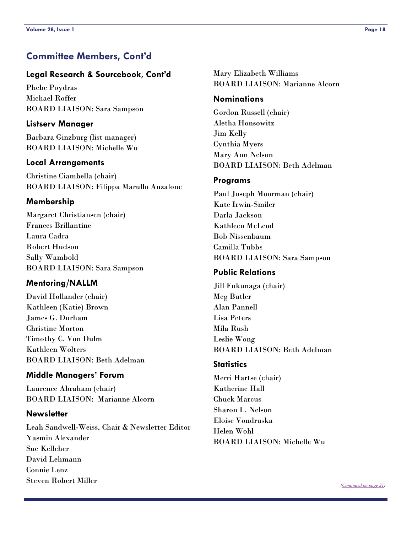### <span id="page-17-0"></span>**Committee Members, Cont'd**

#### **Legal Research & Sourcebook, Cont'd**

Phebe Poydras Michael Roffer BOARD LIAISON: Sara Sampson

#### **Listserv Manager**

Barbara Ginzburg (list manager) BOARD LIAISON: Michelle Wu

#### **Local Arrangements**

Christine Ciambella (chair) BOARD LIAISON: Filippa Marullo Anzalone

#### **Membership**

Margaret Christiansen (chair) Frances Brillantine Laura Cadra Robert Hudson Sally Wambold BOARD LIAISON: Sara Sampson

#### **Mentoring/NALLM**

David Hollander (chair) Kathleen (Katie) Brown James G. Durham Christine Morton Timothy C. Von Dulm Kathleen Wolters BOARD LIAISON: Beth Adelman

#### **Middle Managers' Forum**

Laurence Abraham (chair) BOARD LIAISON: Marianne Alcorn

#### **Newsletter**

Leah Sandwell-Weiss, Chair & Newsletter Editor Yasmin Alexander Sue Kelleher David Lehmann Connie Lenz Steven Robert Miller

Mary Elizabeth Williams BOARD LIAISON: Marianne Alcorn

#### **Nominations**

Gordon Russell (chair) Aletha Honsowitz Jim Kelly Cynthia Myers Mary Ann Nelson BOARD LIAISON: Beth Adelman

#### **Programs**

Paul Joseph Moorman (chair) Kate Irwin-Smiler Darla Jackson Kathleen McLeod Bob Nissenbaum Camilla Tubbs BOARD LIAISON: Sara Sampson

#### **Public Relations**

Jill Fukunaga (chair) Meg Butler Alan Pannell Lisa Peters Mila Rush Leslie Wong BOARD LIAISON: Beth Adelman

#### **Statistics**

Merri Hartse (chair) Katherine Hall Chuck Marcus Sharon L. Nelson Eloise Vondruska Helen Wohl BOARD LIAISON: Michelle Wu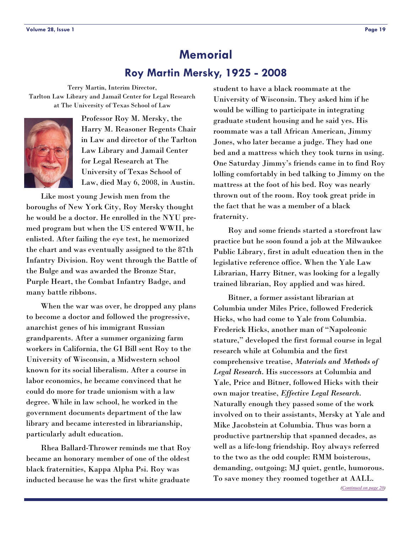# **Memorial Roy Martin Mersky, 1925 - 2008**

<span id="page-18-0"></span>Terry Martin, Interim Director, Tarlton Law Library and Jamail Center for Legal Research at The University of Texas School of Law



Professor Roy M. Mersky, the Harry M. Reasoner Regents Chair in Law and director of the Tarlton Law Library and Jamail Center for Legal Research at The University of Texas School of Law, died May 6, 2008, in Austin.

 Like most young Jewish men from the boroughs of New York City, Roy Mersky thought he would be a doctor. He enrolled in the NYU premed program but when the US entered WWII, he enlisted. After failing the eye test, he memorized the chart and was eventually assigned to the 87th Infantry Division. Roy went through the Battle of the Bulge and was awarded the Bronze Star, Purple Heart, the Combat Infantry Badge, and many battle ribbons.

 When the war was over, he dropped any plans to become a doctor and followed the progressive, anarchist genes of his immigrant Russian grandparents. After a summer organizing farm workers in California, the GI Bill sent Roy to the University of Wisconsin, a Midwestern school known for its social liberalism. After a course in labor economics, he became convinced that he could do more for trade unionism with a law degree. While in law school, he worked in the government documents department of the law library and became interested in librarianship, particularly adult education.

 Rhea Ballard-Thrower reminds me that Roy became an honorary member of one of the oldest black fraternities, Kappa Alpha Psi. Roy was inducted because he was the first white graduate

student to have a black roommate at the University of Wisconsin. They asked him if he would be willing to participate in integrating graduate student housing and he said yes. His roommate was a tall African American, Jimmy Jones, who later became a judge. They had one bed and a mattress which they took turns in using. One Saturday Jimmy's friends came in to find Roy lolling comfortably in bed talking to Jimmy on the mattress at the foot of his bed. Roy was nearly thrown out of the room. Roy took great pride in the fact that he was a member of a black fraternity.

 Roy and some friends started a storefront law practice but he soon found a job at the Milwaukee Public Library, first in adult education then in the legislative reference office. When the Yale Law Librarian, Harry Bitner, was looking for a legally trained librarian, Roy applied and was hired.

 Bitner, a former assistant librarian at Columbia under Miles Price, followed Frederick Hicks, who had come to Yale from Columbia. Frederick Hicks, another man of "Napoleonic stature," developed the first formal course in legal research while at Columbia and the first comprehensive treatise, *Materials and Methods of Legal Research*. His successors at Columbia and Yale, Price and Bitner, followed Hicks with their own major treatise, *Effective Legal Research*. Naturally enough they passed some of the work involved on to their assistants, Mersky at Yale and Mike Jacobstein at Columbia. Thus was born a productive partnership that spanned decades, as well as a life-long friendship. Roy always referred to the two as the odd couple: RMM boisterous, demanding, outgoing; MJ quiet, gentle, humorous. To save money they roomed together at AALL.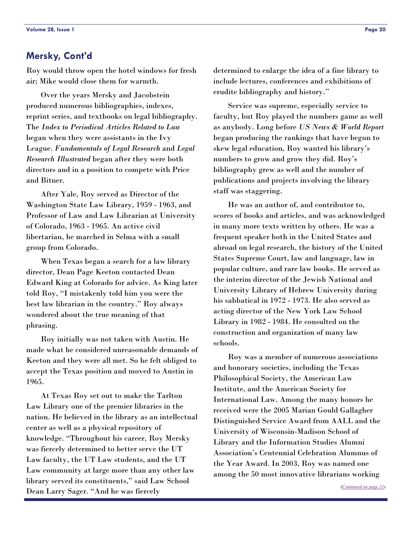### <span id="page-19-0"></span>**Mersky, Cont'd**

Roy would throw open the hotel windows for fresh air; Mike would close them for warmth.

 Over the years Mersky and Jacobstein produced numerous bibliographies, indexes, reprint series, and textbooks on legal bibliography. The *Index to Periodical Articles Related to Law* began when they were assistants in the Ivy League. *Fundamentals of Legal Research* and *Legal Research Illustrated* began after they were both directors and in a position to compete with Price and Bitner.

 After Yale, Roy served as Director of the Washington State Law Library, 1959 - 1963, and Professor of Law and Law Librarian at University of Colorado, 1963 - 1965. An active civil libertarian, he marched in Selma with a small group from Colorado.

 When Texas began a search for a law library director, Dean Page Keeton contacted Dean Edward King at Colorado for advice. As King later told Roy, "I mistakenly told him you were the best law librarian in the country." Roy always wondered about the true meaning of that phrasing.

 Roy initially was not taken with Austin. He made what he considered unreasonable demands of Keeton and they were all met. So he felt obliged to accept the Texas position and moved to Austin in 1965.

 At Texas Roy set out to make the Tarlton Law Library one of the premier libraries in the nation. He believed in the library as an intellectual center as well as a physical repository of knowledge. "Throughout his career, Roy Mersky was fiercely determined to better serve the UT Law faculty, the UT Law students, and the UT Law community at large more than any other law library served its constituents," said Law School Dean Larry Sager. "And he was fiercely

determined to enlarge the idea of a fine library to include lectures, conferences and exhibitions of erudite bibliography and history."

 Service was supreme, especially service to faculty, but Roy played the numbers game as well as anybody. Long before *US News & World Report* began producing the rankings that have begun to skew legal education, Roy wanted his library's numbers to grow and grow they did. Roy's bibliography grew as well and the number of publications and projects involving the library staff was staggering.

 He was an author of, and contributor to, scores of books and articles, and was acknowledged in many more texts written by others. He was a frequent speaker both in the United States and abroad on legal research, the history of the United States Supreme Court, law and language, law in popular culture, and rare law books. He served as the interim director of the Jewish National and University Library of Hebrew University during his sabbatical in 1972 - 1973. He also served as acting director of the New York Law School Library in 1982 - 1984. He consulted on the construction and organization of many law schools.

 Roy was a member of numerous associations and honorary societies, including the Texas Philosophical Society, the American Law Institute, and the American Society for International Law. Among the many honors he received were the 2005 Marian Gould Gallagher Distinguished Service Award from AALL and the University of Wisconsin-Madison School of Library and the Information Studies Alumni Association's Centennial Celebration Alumnus of the Year Award. In 2003, Roy was named one among the 50 most innovative librarians working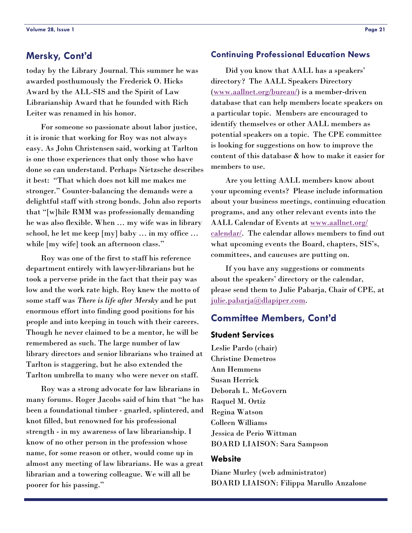today by the Library Journal. This summer he was awarded posthumously the Frederick O. Hicks Award by the ALL-SIS and the Spirit of Law Librarianship Award that he founded with Rich Leiter was renamed in his honor.

 For someone so passionate about labor justice, it is ironic that working for Roy was not always easy. As John Christensen said, working at Tarlton is one those experiences that only those who have done so can understand. Perhaps Nietzsche describes it best: "That which does not kill me makes me stronger." Counter-balancing the demands were a delightful staff with strong bonds. John also reports that "[w]hile RMM was professionally demanding he was also flexible. When … my wife was in library school, he let me keep [my] baby … in my office … while [my wife] took an afternoon class."

 Roy was one of the first to staff his reference department entirely with lawyer-librarians but he took a perverse pride in the fact that their pay was low and the work rate high. Roy knew the motto of some staff was *There is life after Mersky* and he put enormous effort into finding good positions for his people and into keeping in touch with their careers. Though he never claimed to be a mentor, he will be remembered as such. The large number of law library directors and senior librarians who trained at Tarlton is staggering, but he also extended the Tarlton umbrella to many who were never on staff.

 Roy was a strong advocate for law librarians in many forums. Roger Jacobs said of him that "he has been a foundational timber - gnarled, splintered, and knot filled, but renowned for his professional strength - in my awareness of law librarianship. I know of no other person in the profession whose name, for some reason or other, would come up in almost any meeting of law librarians. He was a great librarian and a towering colleague. We will all be poorer for his passing."

#### <span id="page-20-0"></span>**Mersky, Cont'd Continuing Professional Education News**

 Did you know that AALL has a speakers' directory? The AALL Speakers Directory ([www.aallnet.org/bureau/](http://www.aallnet.org/bureau/)) is a member-driven database that can help members locate speakers on a particular topic. Members are encouraged to identify themselves or other AALL members as potential speakers on a topic. The CPE committee is looking for suggestions on how to improve the content of this database & how to make it easier for members to use.

 Are you letting AALL members know about your upcoming events? Please include information about your business meetings, continuing education programs, and any other relevant events into the AALL Calendar of Events at [www.aallnet.org/](http://www.aallnet.org/calendar/) [calendar/](http://www.aallnet.org/calendar/). The calendar allows members to find out what upcoming events the Board, chapters, SIS's, committees, and caucuses are putting on.

 If you have any suggestions or comments about the speakers' directory or the calendar, please send them to Julie Pabarja, Chair of CPE, at [julie.pabarja@dlapiper.com](mailto:julie.pabarja@dlapiper.com).

#### **Committee Members, Cont'd**

#### **Student Services**

Leslie Pardo (chair) Christine Demetros Ann Hemmens Susan Herrick Deborah L. McGovern Raquel M. Ortiz Regina Watson Colleen Williams Jessica de Perio Wittman BOARD LIAISON: Sara Sampson

#### **Website**

Diane Murley (web administrator) BOARD LIAISON: Filippa Marullo Anzalone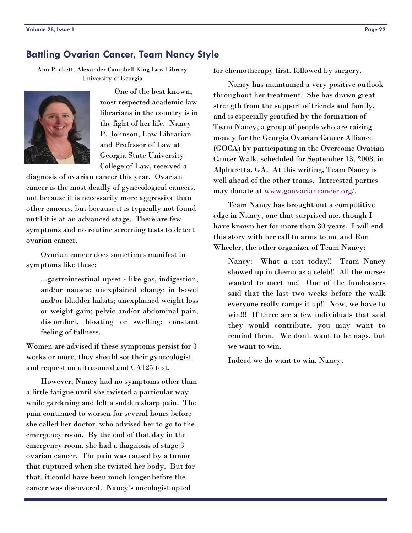### <span id="page-21-0"></span>**Battling Ovarian Cancer, Team Nancy Style**

Ann Puckett, Alexander Campbell King Law Library University of Georgia



 One of the best known, most respected academic law librarians in the country is in the fight of her life. Nancy P. Johnson, Law Librarian and Professor of Law at Georgia State University College of Law, received a

diagnosis of ovarian cancer this year. Ovarian cancer is the most deadly of gynecological cancers, not because it is necessarily more aggressive than other cancers, but because it is typically not found until it is at an advanced stage. There are few symptoms and no routine screening tests to detect ovarian cancer.

 Ovarian cancer does sometimes manifest in symptoms like these:

...gastrointestinal upset - like gas, indigestion, and/or nausea; unexplained change in bowel and/or bladder habits; unexplained weight loss or weight gain; pelvic and/or abdominal pain, discomfort, bloating or swelling; constant feeling of fullness.

Women are advised if these symptoms persist for 3 weeks or more, they should see their gynecologist and request an ultrasound and CA125 test.

 However, Nancy had no symptoms other than a little fatigue until she twisted a particular way while gardening and felt a sudden sharp pain. The pain continued to worsen for several hours before she called her doctor, who advised her to go to the emergency room. By the end of that day in the emergency room, she had a diagnosis of stage 3 ovarian cancer. The pain was caused by a tumor that ruptured when she twisted her body. But for that, it could have been much longer before the cancer was discovered. Nancy's oncologist opted

for chemotherapy first, followed by surgery.

 Nancy has maintained a very positive outlook throughout her treatment. She has drawn great strength from the support of friends and family, and is especially gratified by the formation of Team Nancy, a group of people who are raising money for the Georgia Ovarian Cancer Alliance (GOCA) by participating in the Overcome Ovarian Cancer Walk, scheduled for September 13, 2008, in Alpharetta, GA. At this writing, Team Nancy is well ahead of the other teams. Interested parties may donate at [www.gaovariancancer.org/](http://www.gaovariancancer.org/).

 Team Nancy has brought out a competitive edge in Nancy, one that surprised me, though I have known her for more than 30 years. I will end this story with her call to arms to me and Ron Wheeler, the other organizer of Team Nancy:

Nancy: What a riot today!! Team Nancy showed up in chemo as a celeb!! All the nurses wanted to meet me! One of the fundraisers said that the last two weeks before the walk everyone really ramps it up!! Now, we have to win!!! If there are a few individuals that said they would contribute, you may want to remind them. We don't want to be nags, but we want to win.

Indeed we do want to win, Nancy.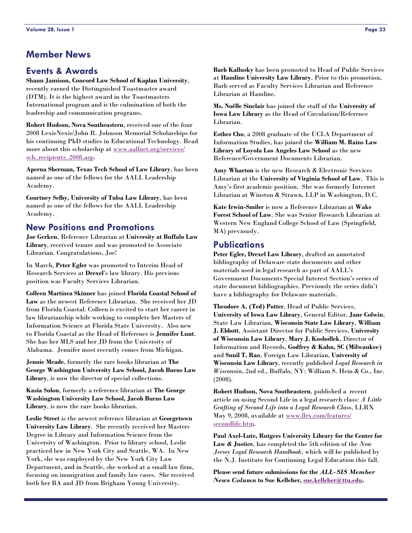### <span id="page-22-0"></span>**Member News**

### **Events & Awards**

**Shaun Jamison, Concord Law School of Kaplan University**, recently earned the Distinguished Toastmaster award (DTM). It is the highest award in the Toastmasters International program and is the culmination of both the leadership and communication programs.

**Robert Hudson, Nova Southeastern**, received one of the four 2008 LexisNexis/John R. Johnson Memorial Scholarships for his continuing PhD studies in Educational Technology. Read more about this scholarship at [www.aallnet.org/services/](http://www.aallnet.org/services/sch_recipients_2008.asp) [sch\\_recipients\\_2008.asp](http://www.aallnet.org/services/sch_recipients_2008.asp).

**Aperna Sherman, Texas Tech School of Law Library**, has been named as one of the fellows for the AALL Leadership Academy.

**Courtney Selby, University of Tulsa Law Library**, has been named as one of the fellows for the AALL Leadership Academy.

### **New Positions and Promotions**

**Joe Gerken**, Reference Librarian at **University at Buffalo Law Library**, received tenure and was promoted to Associate Librarian. Congratulations, Joe!

In March, **Peter Egler** was promoted to Interim Head of Research Services at **Drexel**'s law library. His previous position was Faculty Services Librarian.

**Colleen Martinez Skinner** has joined **Florida Coastal School of Law** as the newest Reference Librarian. She received her JD from Florida Coastal. Colleen is excited to start her career in law librarianship while working to complete her Masters of Information Science at Florida State University. Also new to Florida Coastal as the Head of Reference is **Jennifer Lunt**. She has her MLS and her JD from the University of Alabama. Jennifer most recently comes from Michigan.

**Jennie Meade**, formerly the rare books librarian at **The George Washington University Law School, Jacob Burns Law Library**, is now the director of special collections.

**Kasia Solon**, formerly a reference librarian at **The George Washington University Law School, Jacob Burns Law Library**, is now the rare books librarian.

**Leslie Street** is the newest reference librarian at **Georgetown University Law Library**. She recently received her Masters Degree in Library and Information Science from the University of Washington. Prior to library school, Leslie practiced law in New York City and Seattle, WA. In New York, she was employed by the New York City Law Department, and in Seattle, she worked at a small law firm, focusing on immigration and family law cases. She received both her BA and JD from Brigham Young University.

**Barb Kallusky** has been promoted to Head of Public Services at **Hamline University Law Library**. Prior to this promotion, Barb served as Faculty Services Librarian and Reference Librarian at Hamline.

**Ms. Noëlle Sinclair** has joined the staff of the **University of Iowa Law Library** as the Head of Circulation/Reference Librarian.

**Esther Cho**, a 2008 graduate of the UCLA Department of Information Studies, has joined the **William M. Rains Law Library of Loyola Los Angeles Law School** as the new Reference/Government Documents Librarian.

**Amy Wharton** is the new Research & Electronic Services Librarian at the **University of Virginia School of Law**. This is Amy's first academic position. She was formerly Internet Librarian at Winston & Strawn, LLP in Washington, D.C.

**Kate Irwin-Smiler** is now a Reference Librarian at **Wake Forest School of Law**. She was Senior Research Librarian at Western New England College School of Law (Springfield, MA) previously.

#### **Publications**

**Peter Egler, Drexel Law Library**, drafted an annotated bibliography of Delaware state documents and other materials used in legal research as part of AALL's Government Documents Special Interest Section's series of state document bibliographies. Previously the series didn't have a bibliography for Delaware materials.

**Theodore A. (Ted) Potter**, Head of Public Services, **University of Iowa Law Library**, General Editor, **Jane Colwin**, State Law Librarian, **Wisconsin State Law Library**, **William J. Ebbott**, Assistant Director for Public Services, **University of Wisconsin Law Library**, **Mary J. Koshollek**, Director of Information and Records, **Godfrey & Kahn, SC (Milwaukee)** and **Sunil T. Rao**, Foreign Law Librarian, **University of Wisconsin Law Library**, recently published *Legal Research in Wisconsin*, 2nd ed., Buffalo, NY: William S. Hein & Co., Inc. (2008).

**Robert Hudson, Nova Southeastern**, published a recent article on using Second Life in a legal research class: *A Little Grafting of Second Life into a Legal Research Class*, LLRX May 9, 2008, available at [www.llrx.com/features/](http://www.llrx.com/features/secondlife.htm) [secondlife.htm](http://www.llrx.com/features/secondlife.htm).

**Paul Axel-Lute, Rutgers University Library for the Center for Law & Justice**, has completed the 5th edition of the *New Jersey Legal Research Handbook*, which will be published by the N.J. Institute for Continuing Legal Education this fall.

**Please send future submissions for the** *ALL-SIS Member News Column* **to Sue Kelleher, [sue.kelleher@ttu.edu](mailto:sue.kelleher@ttu.edu).**